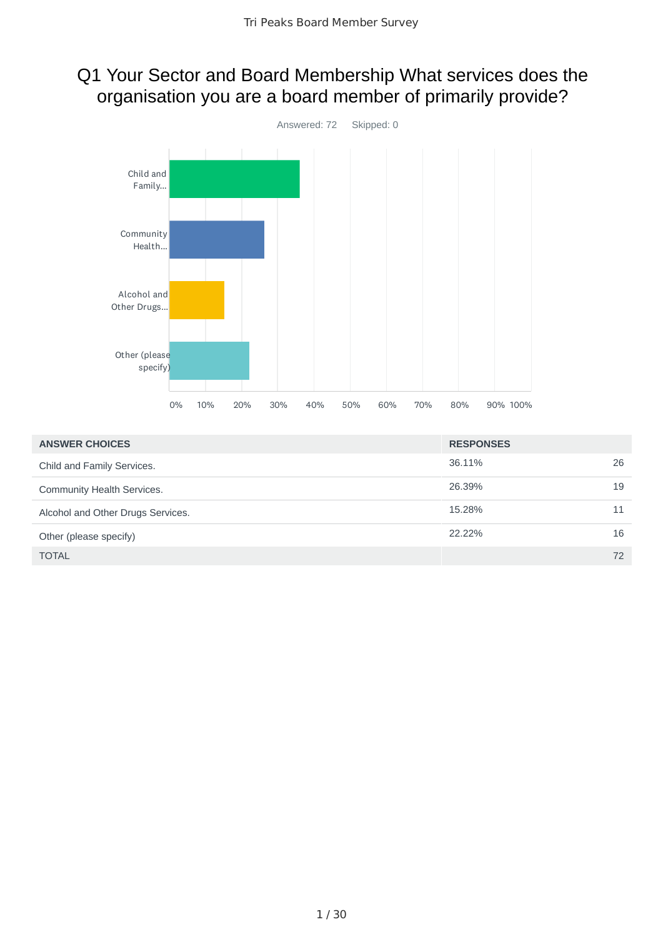### Q1 Your Sector and Board Membership What services does the organisation you are a board member of primarily provide?



| <b>ANSWER CHOICES</b>             | <b>RESPONSES</b> |    |
|-----------------------------------|------------------|----|
| Child and Family Services.        | 36.11%           | 26 |
| Community Health Services.        | 26.39%           | 19 |
| Alcohol and Other Drugs Services. | 15.28%           | 11 |
| Other (please specify)            | 22.22%           | 16 |
| <b>TOTAL</b>                      |                  | 72 |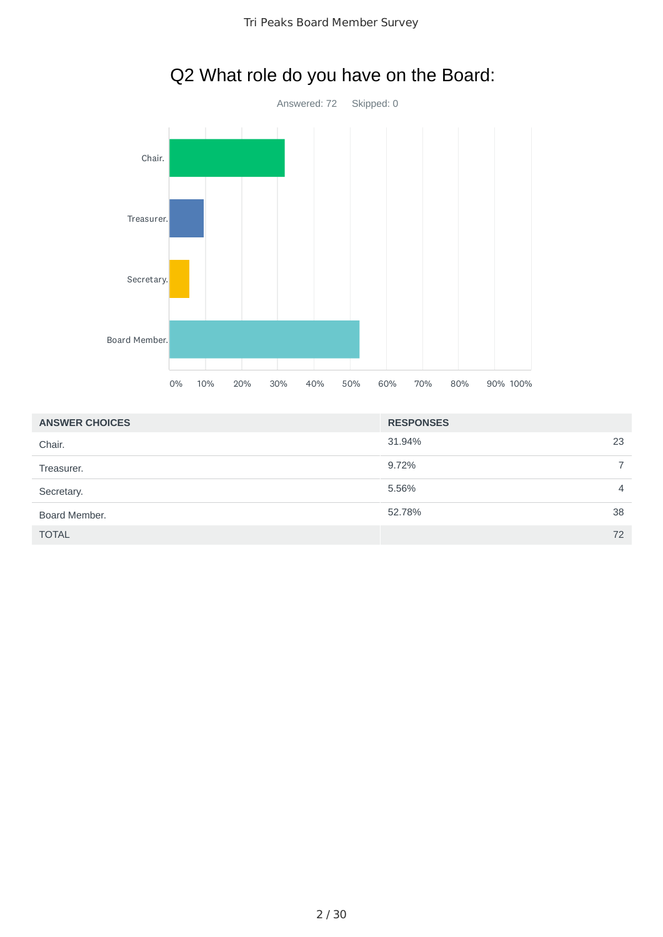

# Q2 What role do you have on the Board:

| <b>ANSWER CHOICES</b> | <b>RESPONSES</b> |    |
|-----------------------|------------------|----|
| Chair.                | 31.94%           | 23 |
| Treasurer.            | 9.72%            |    |
| Secretary.            | 5.56%            | 4  |
| Board Member.         | 52.78%           | 38 |
| <b>TOTAL</b>          |                  | 72 |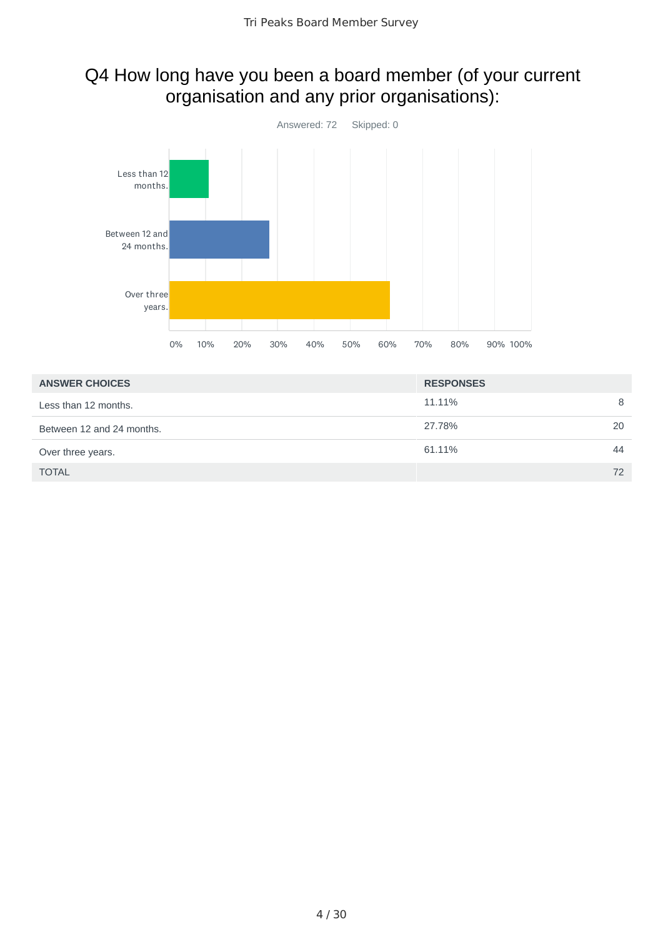### Q4 How long have you been a board member (of your current organisation and any prior organisations):



| <b>ANSWER CHOICES</b>     | <b>RESPONSES</b> |    |
|---------------------------|------------------|----|
| Less than 12 months.      | 11.11%           | 8  |
| Between 12 and 24 months. | 27.78%           | 20 |
| Over three years.         | 61.11%           | 44 |
| <b>TOTAL</b>              |                  | 72 |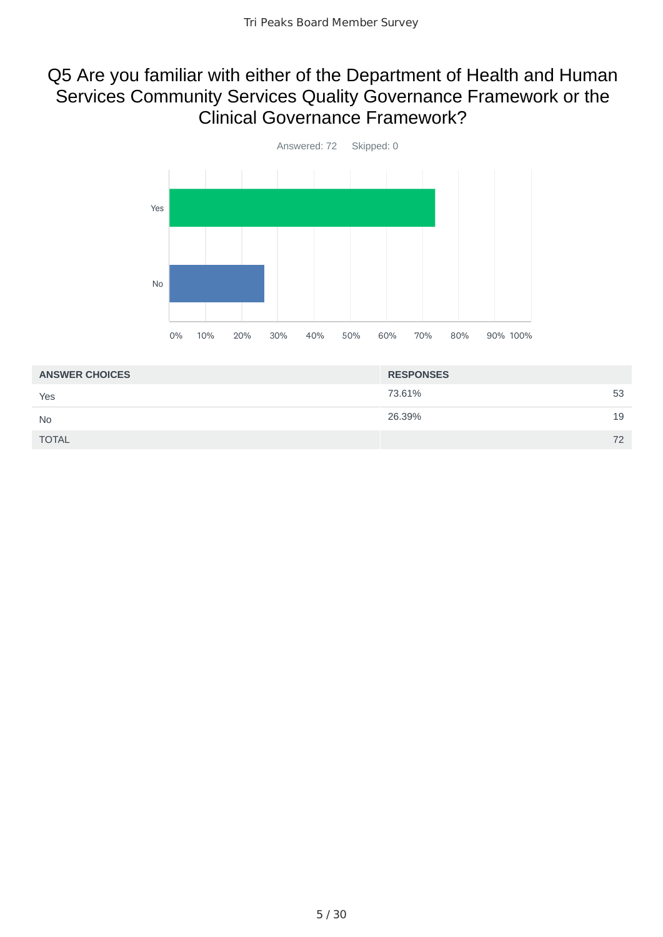#### Q5 Are you familiar with either of the Department of Health and Human Services Community Services Quality Governance Framework or the Clinical Governance Framework?



| 73.61%<br>53<br>Yes<br>26.39%<br>19<br><b>No</b> | <b>ANSWER CHOICES</b> | <b>RESPONSES</b> |    |
|--------------------------------------------------|-----------------------|------------------|----|
|                                                  |                       |                  |    |
|                                                  |                       |                  |    |
|                                                  | <b>TOTAL</b>          |                  | 72 |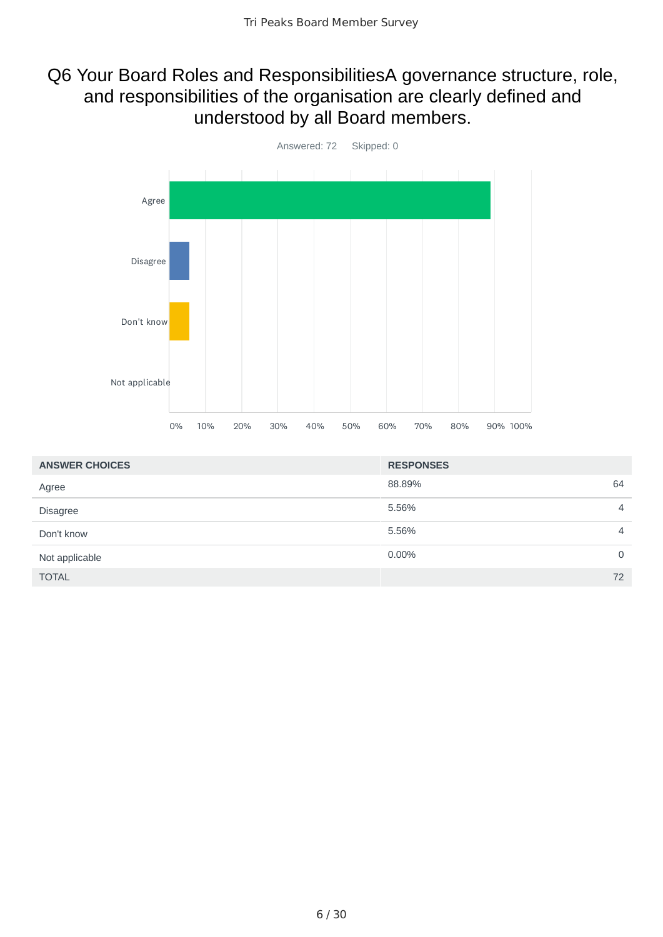### Q6 Your Board Roles and ResponsibilitiesA governance structure, role, and responsibilities of the organisation are clearly defined and understood by all Board members.



| <b>ANSWER CHOICES</b> | <b>RESPONSES</b> |    |
|-----------------------|------------------|----|
| Agree                 | 88.89%           | 64 |
| <b>Disagree</b>       | 5.56%            | 4  |
| Don't know            | 5.56%            | 4  |
| Not applicable        | 0.00%            | 0  |
| <b>TOTAL</b>          |                  | 72 |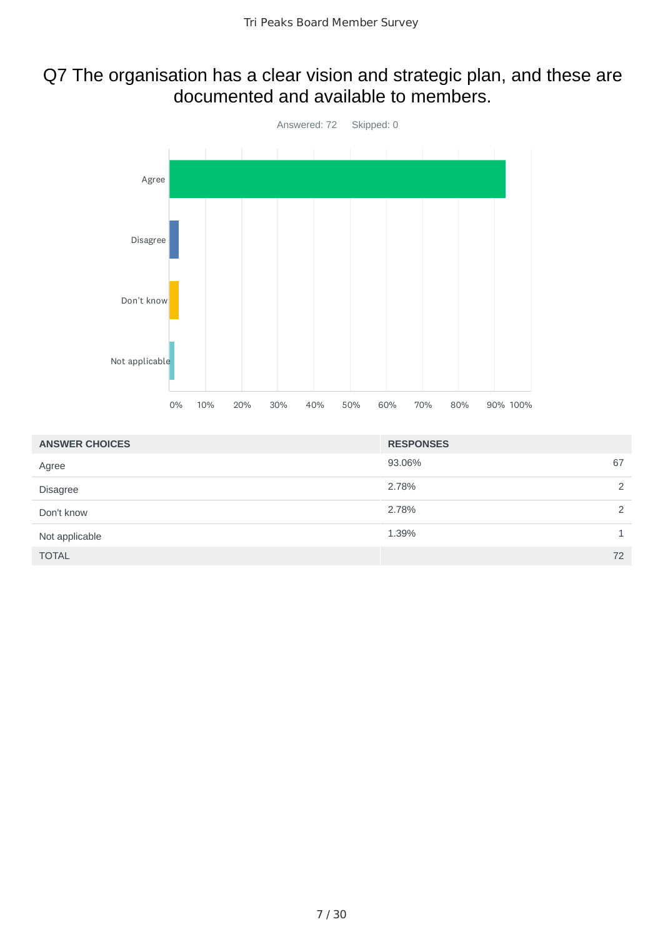#### Q7 The organisation has a clear vision and strategic plan, and these are documented and available to members.



| <b>ANSWER CHOICES</b> | <b>RESPONSES</b> |   |
|-----------------------|------------------|---|
| Agree                 | 93.06%<br>67     |   |
| <b>Disagree</b>       | 2.78%            | 2 |
| Don't know            | 2.78%            | 2 |
| Not applicable        | 1.39%            |   |
| <b>TOTAL</b>          | 72               |   |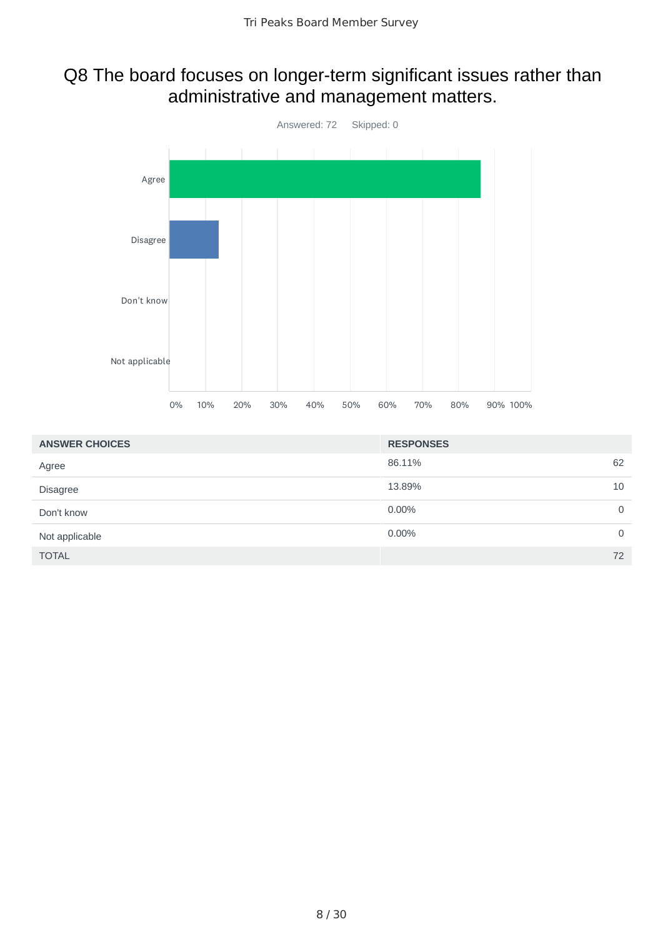# Q8 The board focuses on longer-term significant issues rather than administrative and management matters.



| <b>ANSWER CHOICES</b> | <b>RESPONSES</b> |    |
|-----------------------|------------------|----|
| Agree                 | 86.11%           | 62 |
| <b>Disagree</b>       | 13.89%           | 10 |
| Don't know            | 0.00%            | 0  |
| Not applicable        | $0.00\%$         | 0  |
| <b>TOTAL</b>          |                  | 72 |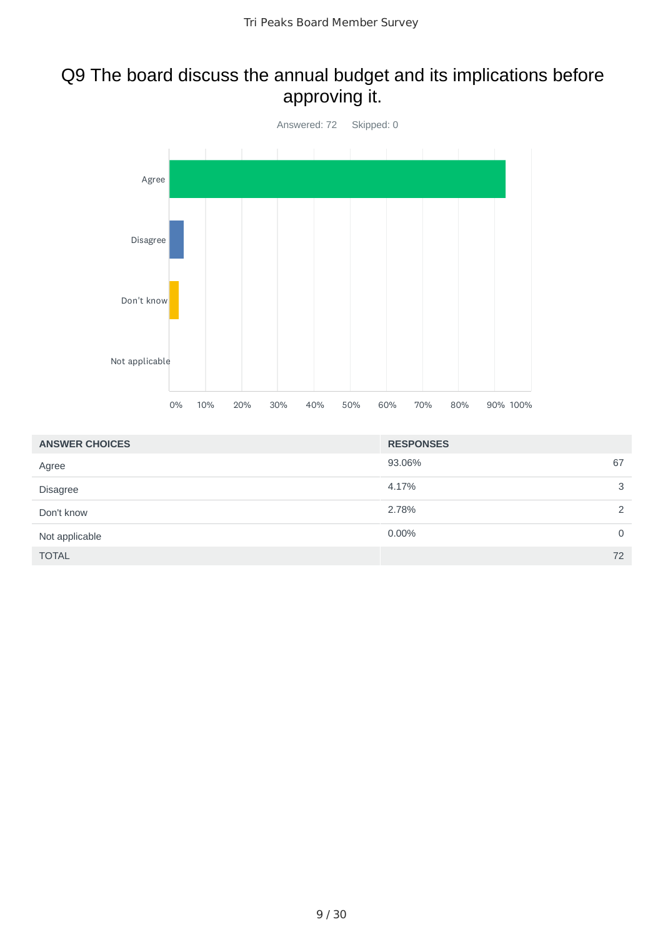## Q9 The board discuss the annual budget and its implications before approving it.



| <b>ANSWER CHOICES</b> | <b>RESPONSES</b> |   |
|-----------------------|------------------|---|
| Agree                 | 93.06%<br>67     |   |
| <b>Disagree</b>       | 4.17%            | 3 |
| Don't know            | 2.78%            | 2 |
| Not applicable        | 0.00%            | 0 |
| <b>TOTAL</b>          | 72               |   |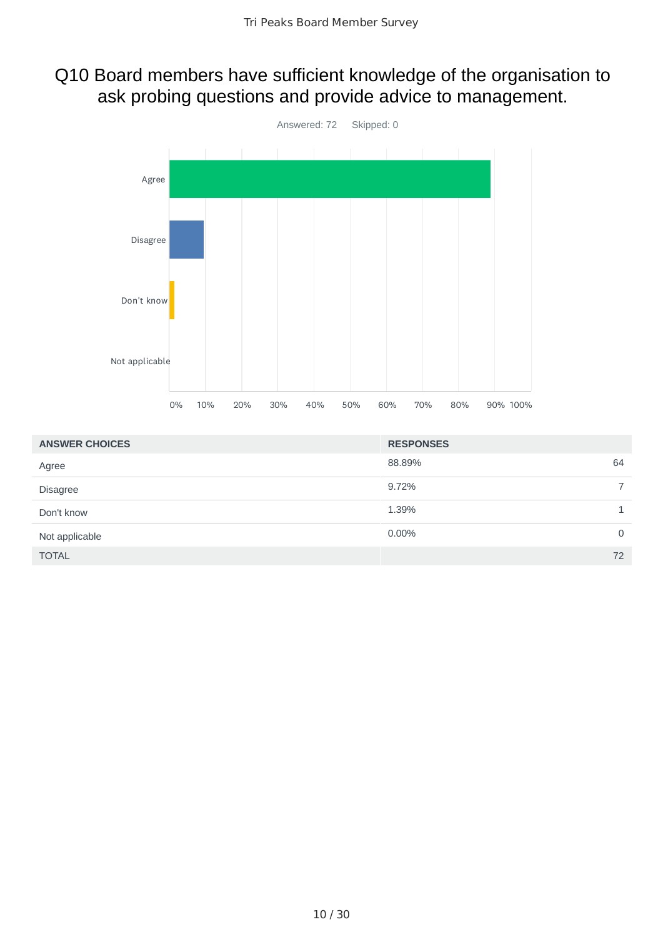### Q10 Board members have sufficient knowledge of the organisation to ask probing questions and provide advice to management.



| <b>ANSWER CHOICES</b> | <b>RESPONSES</b>        |
|-----------------------|-------------------------|
| Agree                 | 64<br>88.89%            |
| <b>Disagree</b>       | 9.72%<br>$\overline{7}$ |
| Don't know            | 1.39%                   |
| Not applicable        | 0.00%<br>0              |
| <b>TOTAL</b>          | 72                      |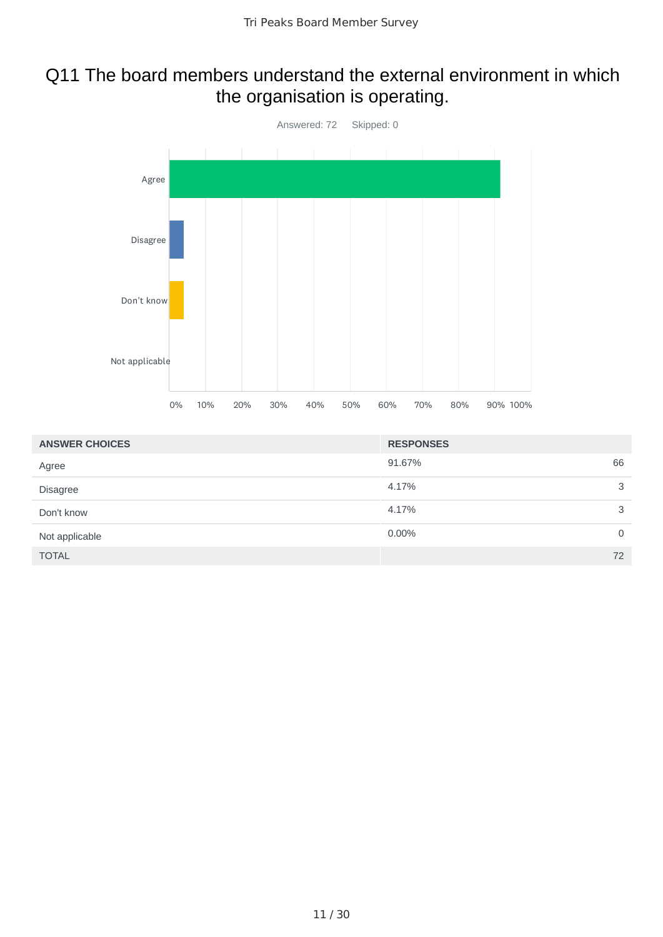# Q11 The board members understand the external environment in which the organisation is operating.



| <b>ANSWER CHOICES</b> | <b>RESPONSES</b> |             |
|-----------------------|------------------|-------------|
| Agree                 | 91.67%           | 66          |
| <b>Disagree</b>       | 4.17%            | 3           |
| Don't know            | 4.17%            | 3           |
| Not applicable        | $0.00\%$         | $\mathbf 0$ |
| <b>TOTAL</b>          |                  | 72          |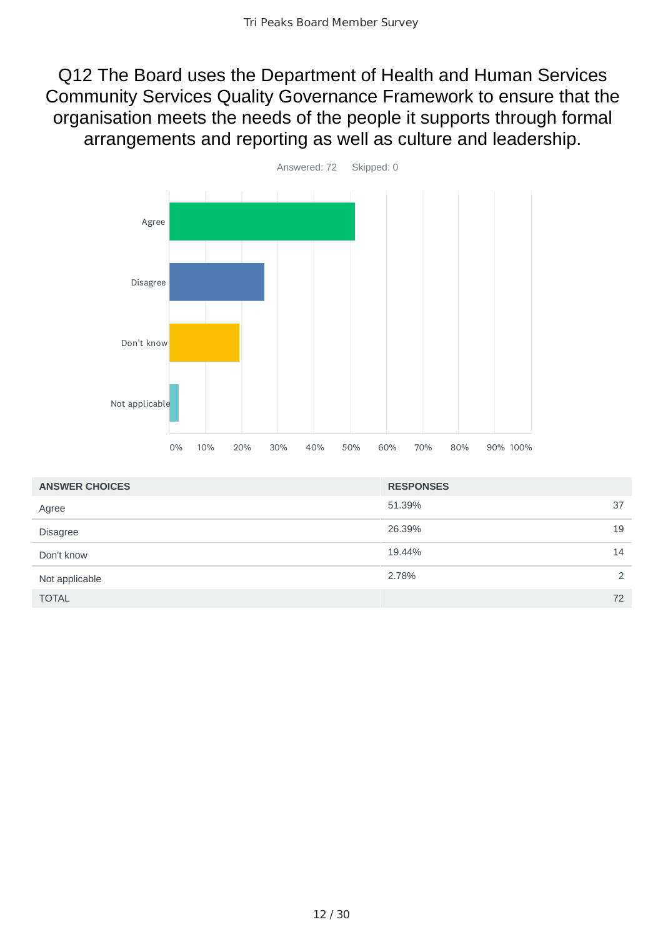Q12 The Board uses the Department of Health and Human Services Community Services Quality Governance Framework to ensure that the organisation meets the needs of the people it supports through formal arrangements and reporting as well as culture and leadership.



| <b>ANSWER CHOICES</b> | <b>RESPONSES</b> |    |
|-----------------------|------------------|----|
| Agree                 | 51.39%           | 37 |
| <b>Disagree</b>       | 26.39%           | 19 |
| Don't know            | 19.44%           | 14 |
| Not applicable        | 2.78%            | 2  |
| <b>TOTAL</b>          |                  | 72 |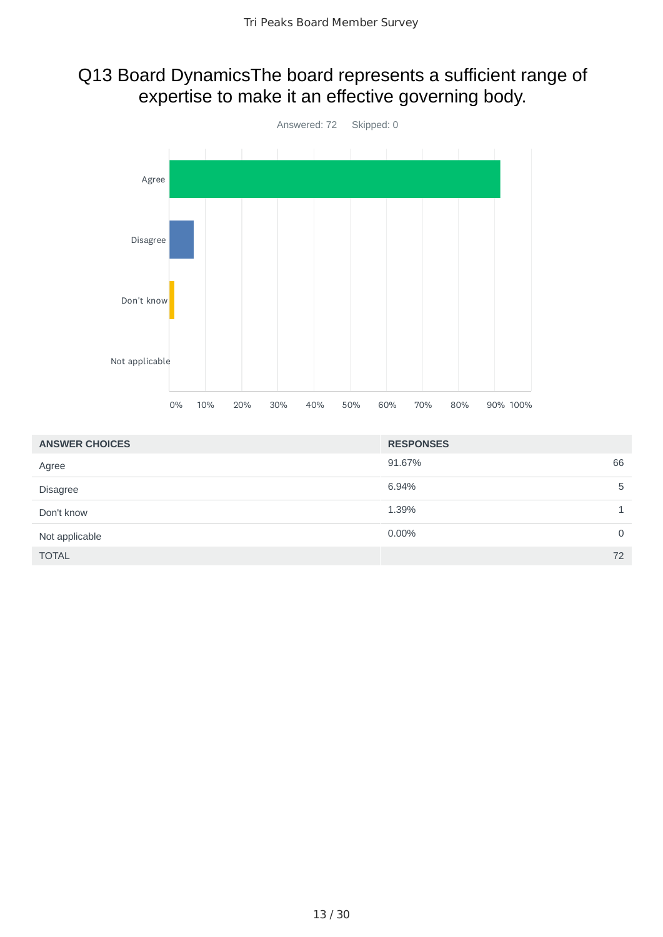## Q13 Board DynamicsThe board represents a sufficient range of expertise to make it an effective governing body.



| <b>ANSWER CHOICES</b> | <b>RESPONSES</b> |
|-----------------------|------------------|
| Agree                 | 66<br>91.67%     |
| <b>Disagree</b>       | 6.94%<br>5       |
| Don't know            | 1.39%            |
| Not applicable        | $0.00\%$<br>0    |
| <b>TOTAL</b>          | 72               |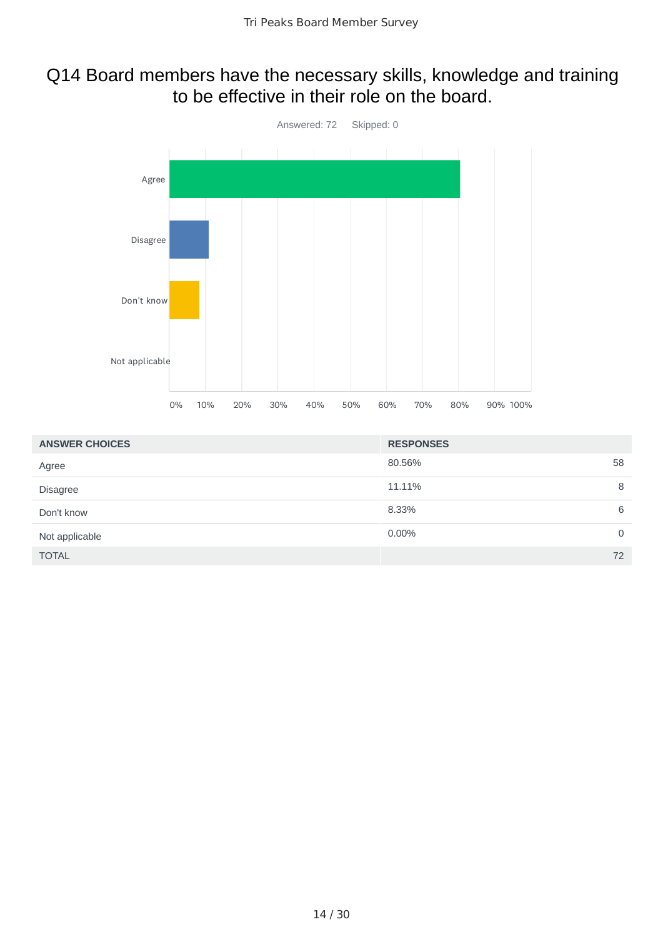#### Q14 Board members have the necessary skills, knowledge and training to be effective in their role on the board.



| <b>ANSWER CHOICES</b> | <b>RESPONSES</b> |    |
|-----------------------|------------------|----|
| Agree                 | 80.56%           | 58 |
| <b>Disagree</b>       | 11.11%           | 8  |
| Don't know            | 8.33%            | 6  |
| Not applicable        | 0.00%            | 0  |
| <b>TOTAL</b>          |                  | 72 |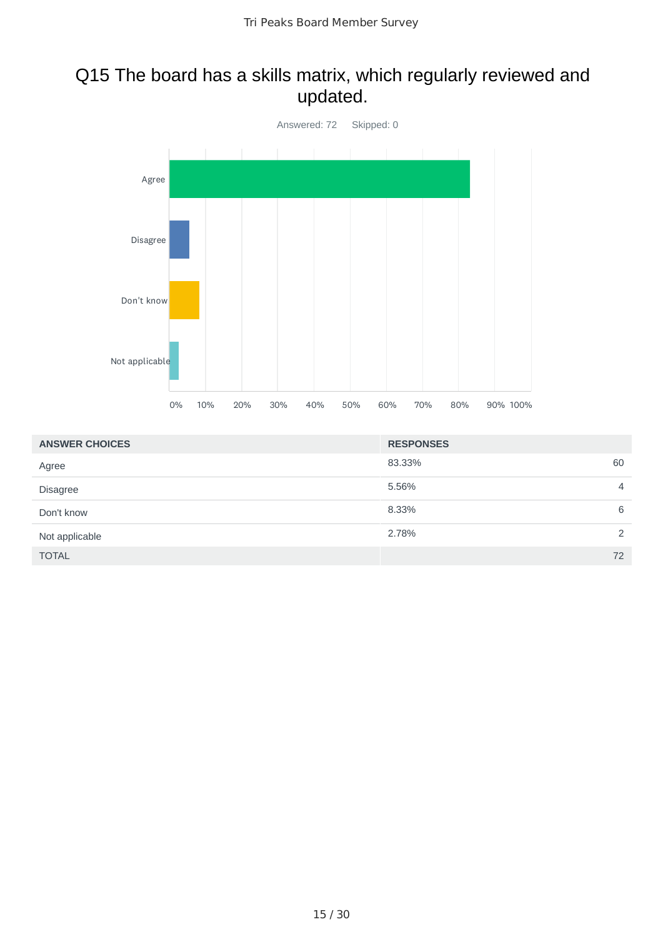## Q15 The board has a skills matrix, which regularly reviewed and updated.



| <b>ANSWER CHOICES</b> | <b>RESPONSES</b> |                |
|-----------------------|------------------|----------------|
| Agree                 | 83.33%           | 60             |
| <b>Disagree</b>       | 5.56%            | $\overline{4}$ |
| Don't know            | 8.33%            | 6              |
| Not applicable        | 2.78%            | $\mathcal{P}$  |
| <b>TOTAL</b>          |                  | 72             |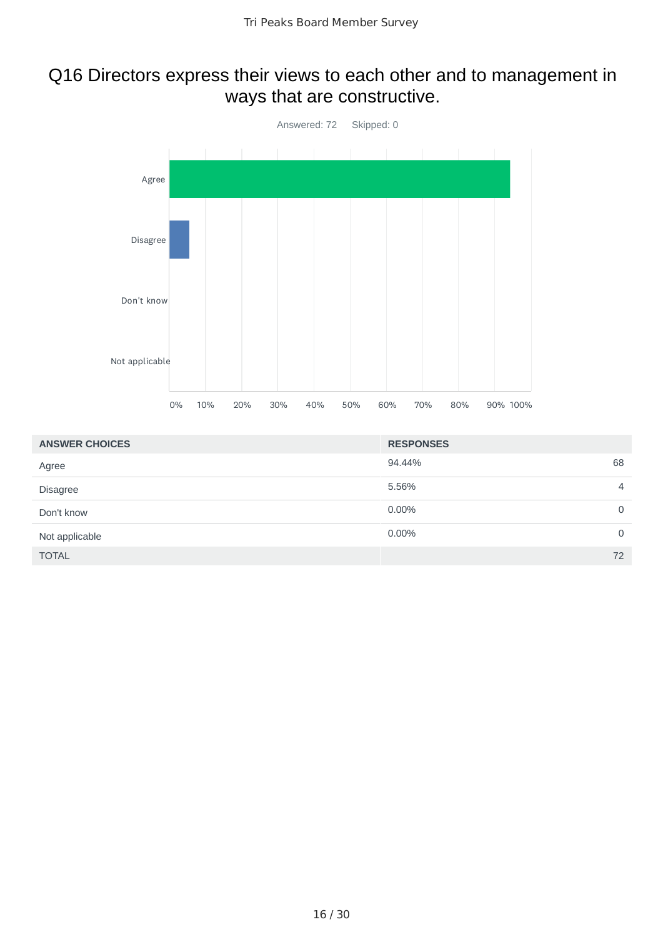## Q16 Directors express their views to each other and to management in ways that are constructive.



| <b>ANSWER CHOICES</b> | <b>RESPONSES</b> |                |
|-----------------------|------------------|----------------|
| Agree                 | 94.44%           | 68             |
| <b>Disagree</b>       | 5.56%            | $\overline{4}$ |
| Don't know            | 0.00%            | 0              |
| Not applicable        | $0.00\%$         | 0              |
| <b>TOTAL</b>          |                  | 72             |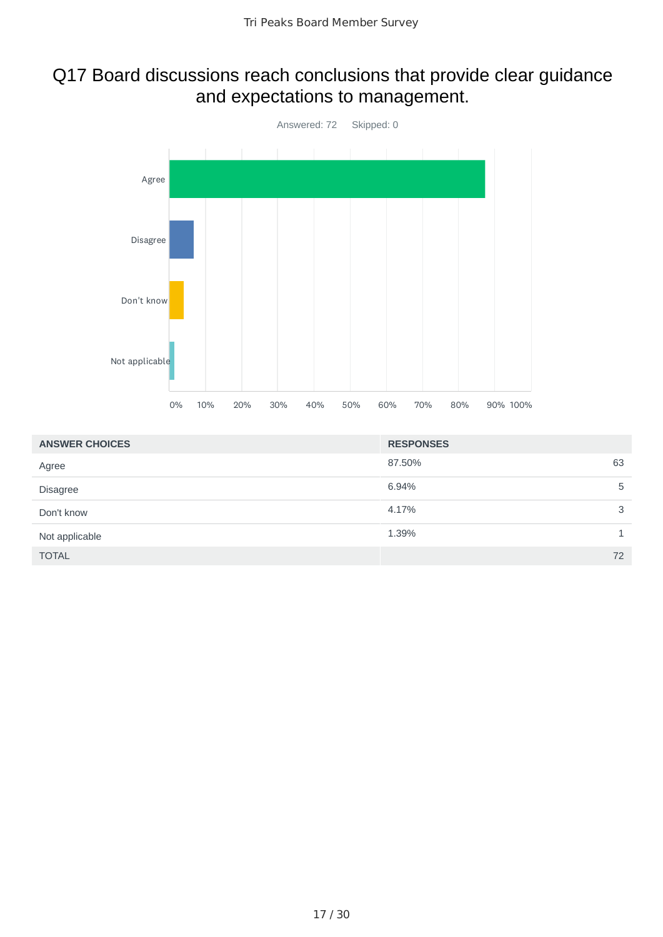## Q17 Board discussions reach conclusions that provide clear guidance and expectations to management.



| <b>ANSWER CHOICES</b> | <b>RESPONSES</b> |
|-----------------------|------------------|
| Agree                 | 63<br>87.50%     |
| <b>Disagree</b>       | 6.94%<br>5       |
| Don't know            | 3<br>4.17%       |
| Not applicable        | 1.39%            |
| <b>TOTAL</b>          | 72               |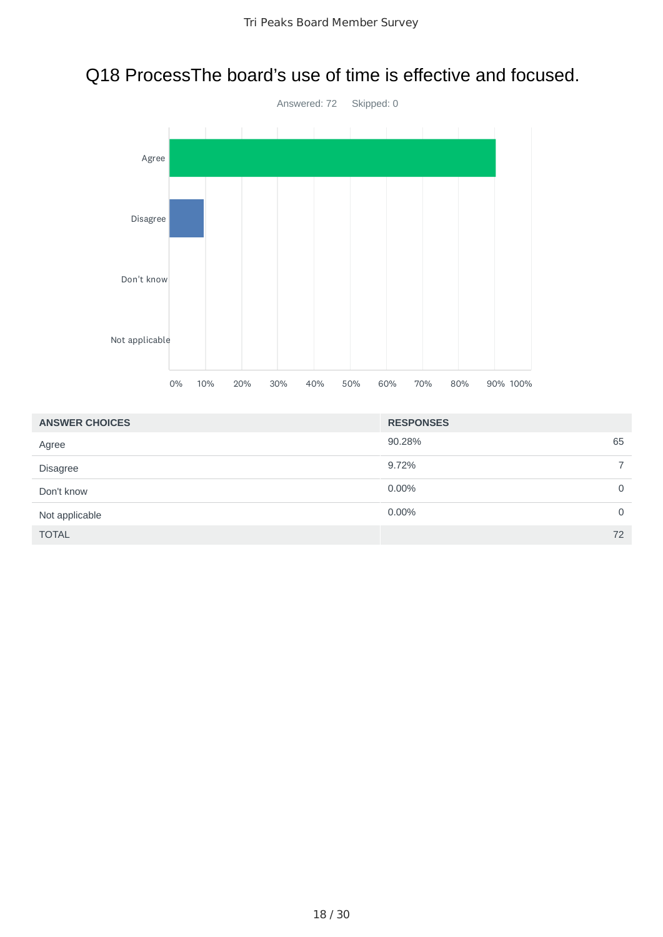# Q18 ProcessThe board's use of time is effective and focused.



| <b>ANSWER CHOICES</b> | <b>RESPONSES</b> |    |
|-----------------------|------------------|----|
| Agree                 | 90.28%           | 65 |
| <b>Disagree</b>       | 9.72%            |    |
| Don't know            | 0.00%            | 0  |
| Not applicable        | 0.00%            | 0  |
| <b>TOTAL</b>          |                  | 72 |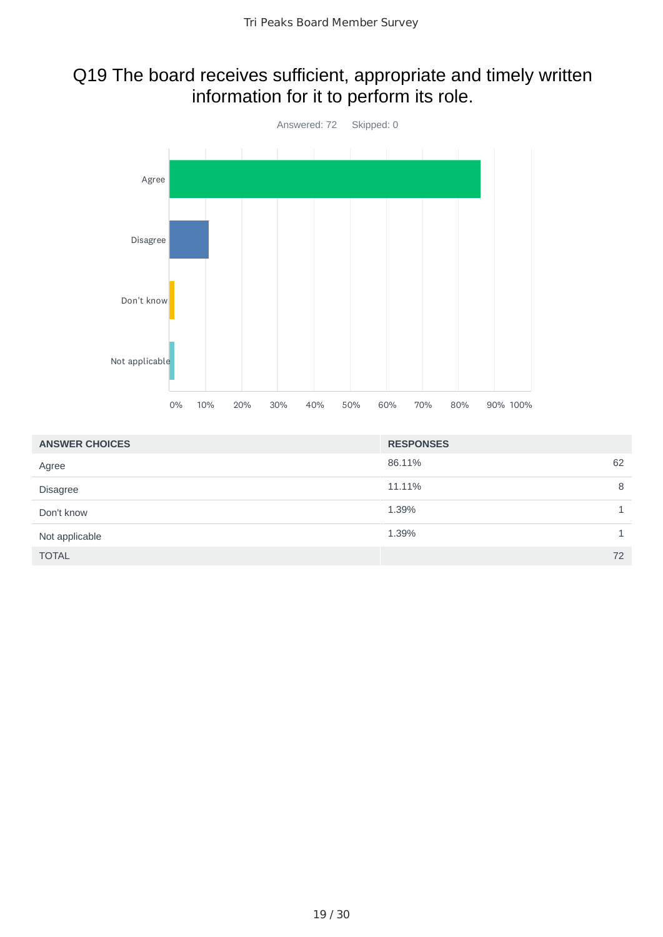## Q19 The board receives sufficient, appropriate and timely written information for it to perform its role.



| <b>ANSWER CHOICES</b> | <b>RESPONSES</b> |    |
|-----------------------|------------------|----|
| Agree                 | 86.11%           | 62 |
| <b>Disagree</b>       | 11.11%           | 8  |
| Don't know            | 1.39%            |    |
| Not applicable        | 1.39%            |    |
| <b>TOTAL</b>          |                  | 72 |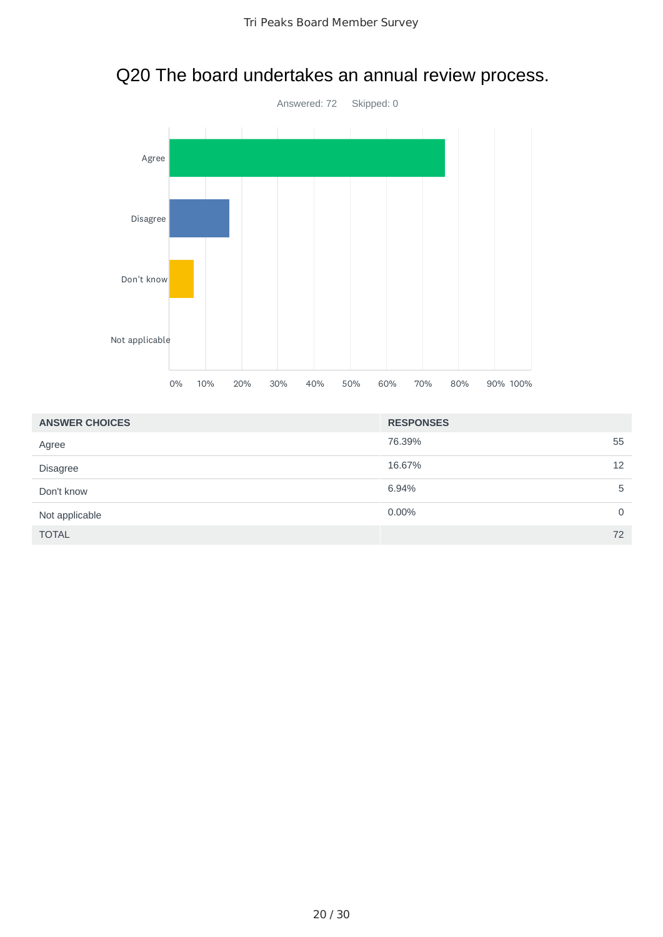

# Q20 The board undertakes an annual review process.

| <b>ANSWER CHOICES</b> | <b>RESPONSES</b> |                |
|-----------------------|------------------|----------------|
| Agree                 | 76.39%           | 55             |
| <b>Disagree</b>       | 16.67%           | 12             |
| Don't know            | 6.94%            | 5              |
| Not applicable        | 0.00%            | $\overline{0}$ |
| <b>TOTAL</b>          |                  | 72             |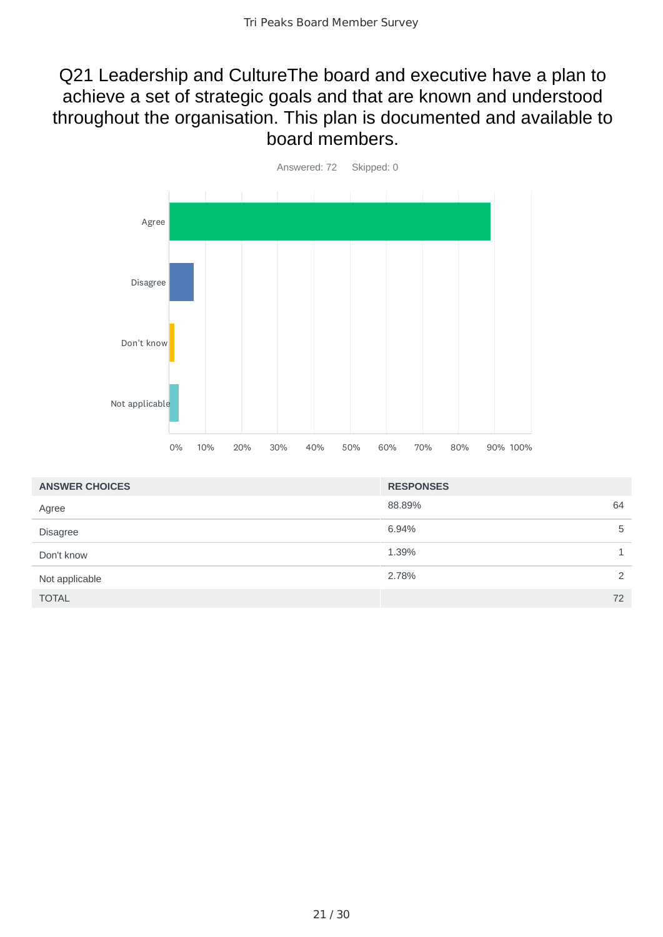#### Q21 Leadership and CultureThe board and executive have a plan to achieve a set of strategic goals and that are known and understood throughout the organisation. This plan is documented and available to board members.



| <b>ANSWER CHOICES</b> | <b>RESPONSES</b> |    |
|-----------------------|------------------|----|
| Agree                 | 88.89%<br>64     |    |
| <b>Disagree</b>       | 6.94%            | 5  |
| Don't know            | 1.39%            |    |
| Not applicable        | 2.78%            | 2  |
| <b>TOTAL</b>          |                  | 72 |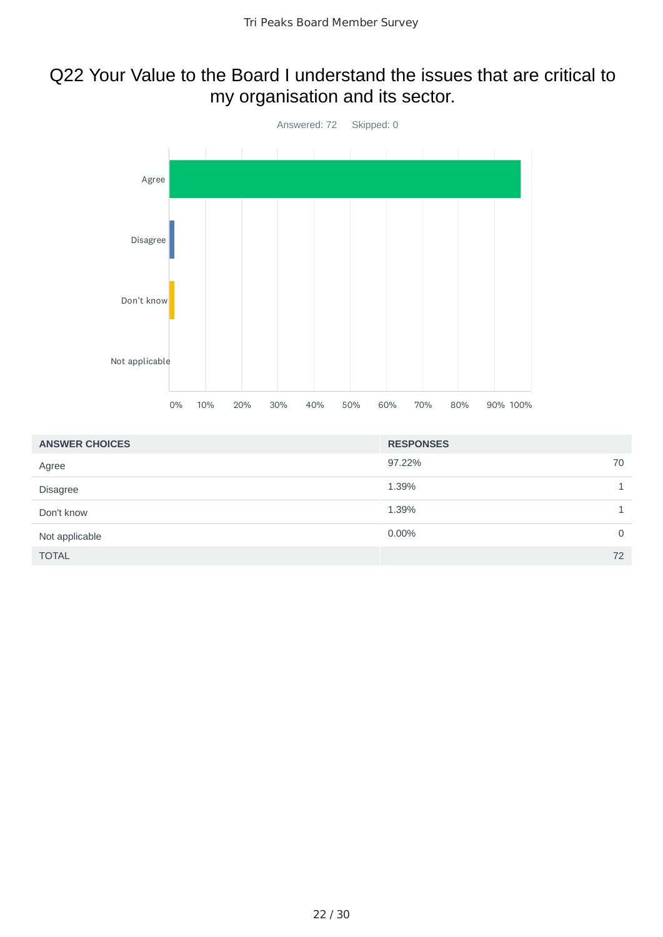## Q22 Your Value to the Board I understand the issues that are critical to my organisation and its sector.



| <b>ANSWER CHOICES</b> | <b>RESPONSES</b> |             |
|-----------------------|------------------|-------------|
| Agree                 | 97.22%           | 70          |
| <b>Disagree</b>       | 1.39%            |             |
| Don't know            | 1.39%            |             |
| Not applicable        | 0.00%            | $\mathbf 0$ |
| <b>TOTAL</b>          |                  | 72          |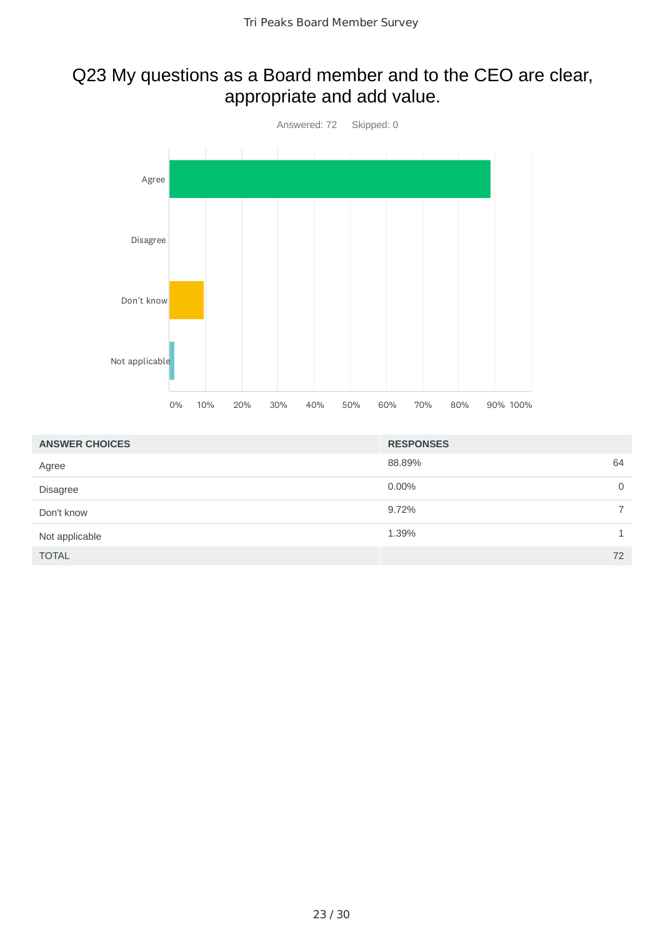## Q23 My questions as a Board member and to the CEO are clear, appropriate and add value.



| <b>ANSWER CHOICES</b> | <b>RESPONSES</b> |                |
|-----------------------|------------------|----------------|
| Agree                 | 88.89%           | 64             |
| <b>Disagree</b>       | 0.00%            | $\mathbf 0$    |
| Don't know            | 9.72%            | $\overline{7}$ |
| Not applicable        | 1.39%            |                |
| <b>TOTAL</b>          |                  | 72             |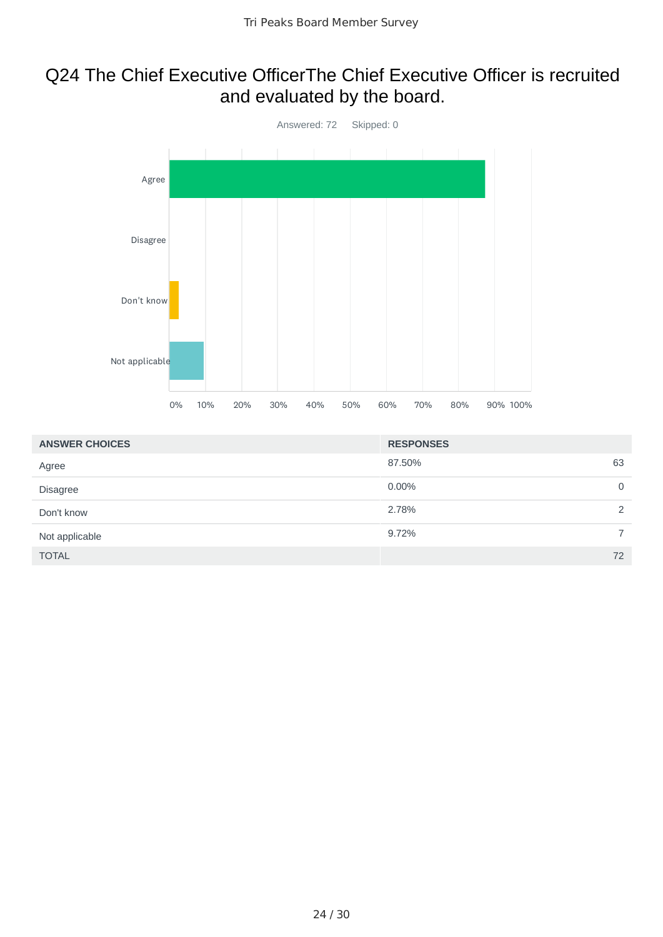## Q24 The Chief Executive OfficerThe Chief Executive Officer is recruited and evaluated by the board.



| <b>ANSWER CHOICES</b> | <b>RESPONSES</b> |                |
|-----------------------|------------------|----------------|
| Agree                 | 63<br>87.50%     |                |
| <b>Disagree</b>       | $0.00\%$         | 0              |
| Don't know            | 2.78%            | 2              |
| Not applicable        | 9.72%            | $\overline{7}$ |
| <b>TOTAL</b>          | 72               |                |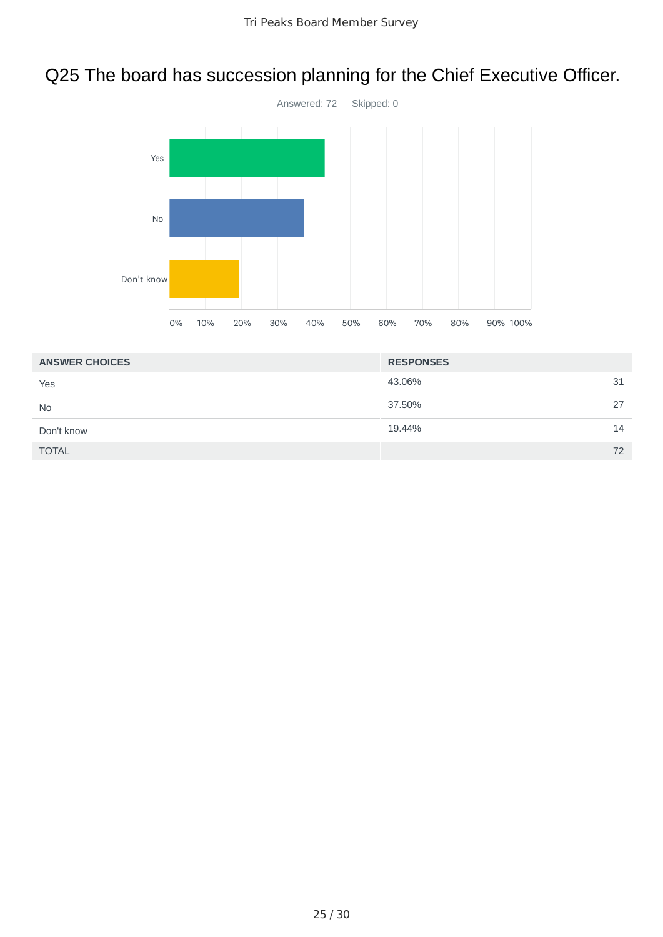# Q25 The board has succession planning for the Chief Executive Officer.



| <b>ANSWER CHOICES</b> | <b>RESPONSES</b> |    |
|-----------------------|------------------|----|
| Yes                   | 43.06%           | 31 |
| <b>No</b>             | 37.50%           | 27 |
| Don't know            | 19.44%           | 14 |
| <b>TOTAL</b>          |                  | 72 |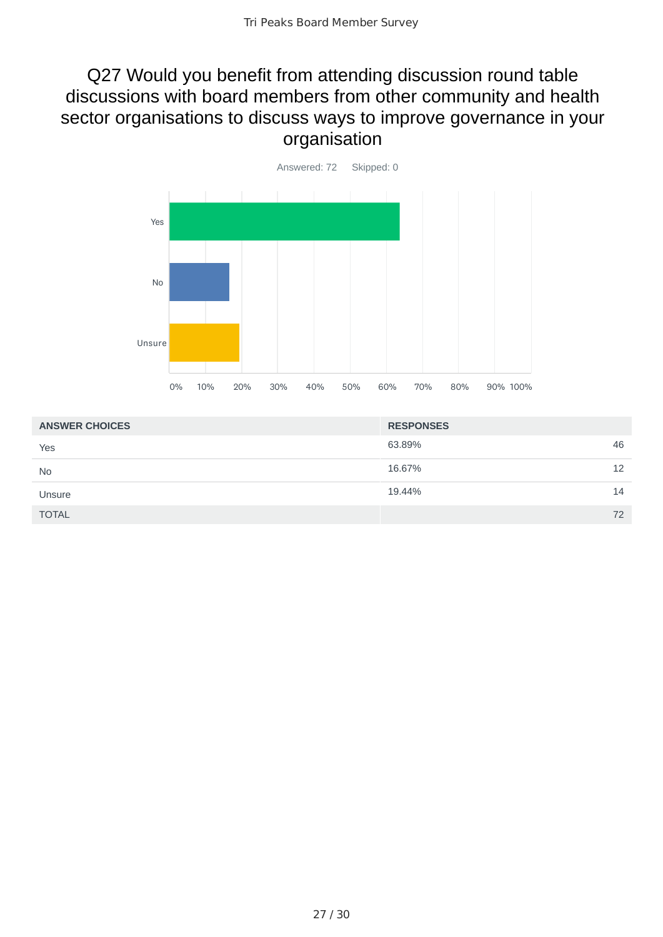#### Q27 Would you benefit from attending discussion round table discussions with board members from other community and health sector organisations to discuss ways to improve governance in your organisation



| <b>ANSWER CHOICES</b> | <b>RESPONSES</b> |    |
|-----------------------|------------------|----|
| Yes                   | 63.89%           | 46 |
| <b>No</b>             | 16.67%           | 12 |
| Unsure                | 19.44%           | 14 |
| <b>TOTAL</b>          |                  | 72 |